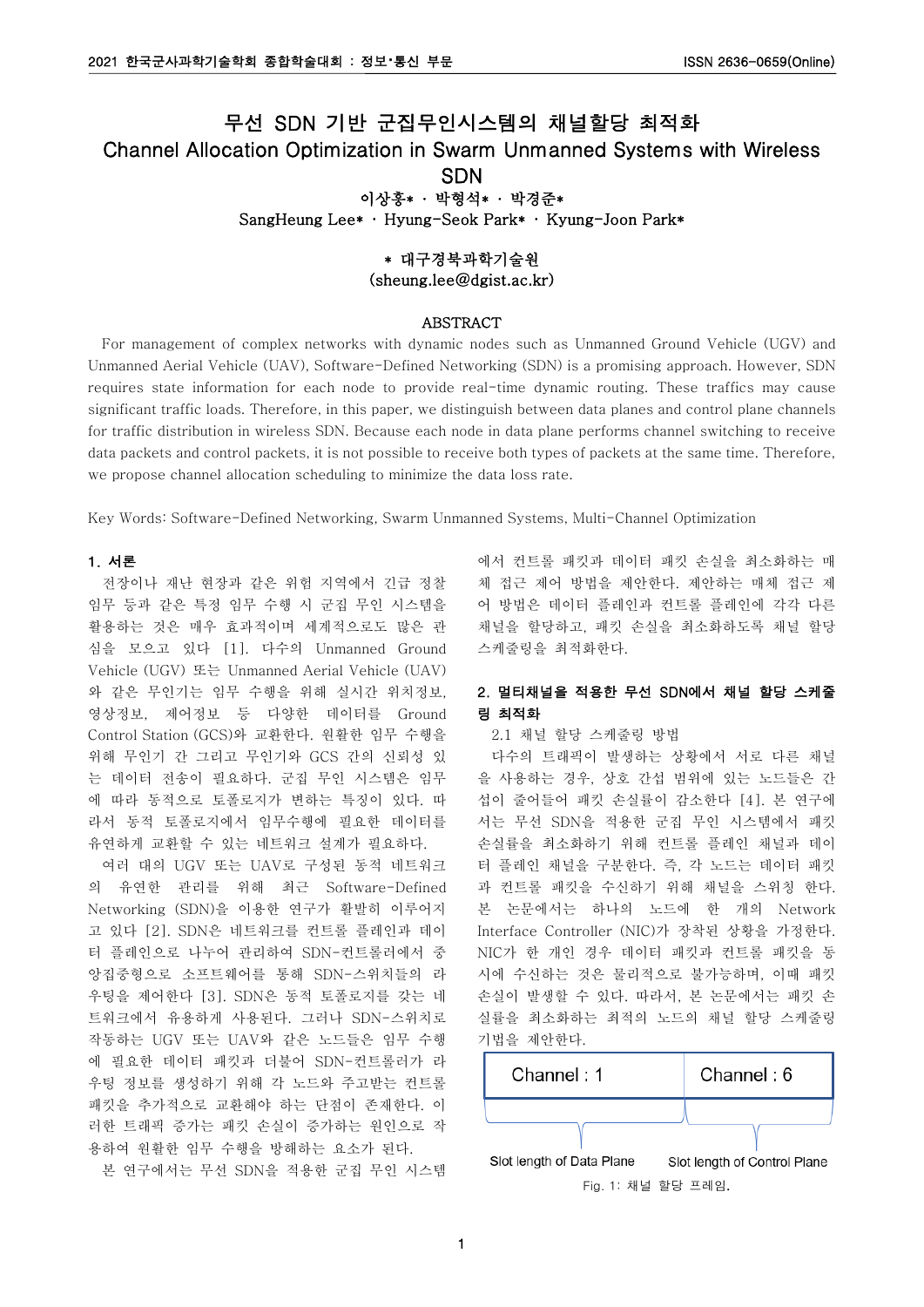# 무선 SDN 기반 군집무인시스템의 채널할당 최적화 Channel Allocation Optimization in Swarm Unmanned Systems with Wireless SDN 이상흥\* · 박형석\* · 박경준\*

SangHeung Lee\* · Hyung-Seok Park\* · Kyung-Joon Park\*

# \* 대구경북과학기술원 (sheung.lee@dgist.ac.kr)

## ABSTRACT

For management of complex networks with dynamic nodes such as Unmanned Ground Vehicle (UGV) and Unmanned Aerial Vehicle (UAV), Software-Defined Networking (SDN) is a promising approach. However, SDN requires state information for each node to provide real-time dynamic routing. These traffics may cause significant traffic loads. Therefore, in this paper, we distinguish between data planes and control plane channels for traffic distribution in wireless SDN. Because each node in data plane performs channel switching to receive data packets and control packets, it is not possible to receive both types of packets at the same time. Therefore, we propose channel allocation scheduling to minimize the data loss rate.

Key Words: Software-Defined Networking, Swarm Unmanned Systems, Multi-Channel Optimization

## 1. 서론

전장이나 재난 현장과 같은 위험 지역에서 긴급 정찰 임무 등과 같은 특정 임무 수행 시 군집 무인 시스템을 활용하는 것은 매우 효과적이며 세계적으로도 많은 관 심을 모으고 있다 [1]. 다수의 Unmanned Ground Vehicle (UGV) 또는 Unmanned Aerial Vehicle (UAV) 와 같은 무인기는 임무 수행을 위해 실시간 위치정보, 영상정보, 제어정보 등 다양한 데이터를 Ground Control Station (GCS)와 교환한다. 원활한 임무 수행을 위해 무인기 간 그리고 무인기와 GCS 간의 신뢰성 있 는 데이터 전송이 필요하다. 군집 무인 시스템은 임무 에 따라 동적으로 토폴로지가 변하는 특징이 있다. 따 라서 동적 토폴로지에서 임무수행에 필요한 데이터를 유연하게 교환할 수 있는 네트워크 설계가 필요하다.

여러 대의 UGV 또는 UAV로 구성된 동적 네트워크 의 유연한 관리를 위해 최근 Software-Defined Networking (SDN)을 이용한 연구가 활발히 이루어지 고 있다 [2]. SDN은 네트워크를 컨트롤 플레인과 데이 터 플레인으로 나누어 관리하여 SDN-컨트롤러에서 중 앙집중형으로 소프트웨어를 통해 SDN-스위치들의 라 우팅을 제어한다 [3]. SDN은 동적 토폴로지를 갖는 네 트워크에서 유용하게 사용된다. 그러나 SDN-스위치로 작동하는 UGV 또는 UAV와 같은 노드들은 임무 수행 에 필요한 데이터 패킷과 더불어 SDN-컨트롤러가 라 우팅 정보를 생성하기 위해 각 노드와 주고받는 컨트롤 패킷을 추가적으로 교환해야 하는 단점이 존재한다. 이 러한 트래픽 증가는 패킷 손실이 증가하는 원인으로 작 용하여 원활한 임무 수행을 방해하는 요소가 된다.

본 연구에서는 무선 SDN을 적용한 군집 무인 시스템

에서 컨트롤 패킷과 데이터 패킷 손실을 최소화하는 매 체 접근 제어 방법을 제안한다. 제안하는 매체 접근 제 어 방법은 데이터 플레인과 컨트롤 플레인에 각각 다른 채널을 할당하고, 패킷 손실을 최소화하도록 채널 할당 스케줄링을 최적화한다.

# 2. 멀티채널을 적용한 무선 SDN에서 채널 할당 스케줄 링 최적화

#### 2.1 채널 할당 스케줄링 방법

다수의 트래픽이 발생하는 상황에서 서로 다른 채널 을 사용하는 경우, 상호 간섭 범위에 있는 노드들은 간 섭이 줄어들어 패킷 손실률이 감소한다 [4]. 본 연구에 서는 무선 SDN을 적용한 군집 무인 시스템에서 패킷 손실률을 최소화하기 위해 컨트롤 플레인 채널과 데이 터 플레인 채널을 구분한다. 즉, 각 노드는 데이터 패킷 과 컨트롤 패킷을 수신하기 위해 채널을 스위칭 한다. 본 논문에서는 하나의 노드에 한 개의 Network Interface Controller (NIC)가 장착된 상황을 가정한다. NIC가 한 개인 경우 데이터 패킷과 컨트롤 패킷을 동 시에 수신하는 것은 물리적으로 불가능하며, 이때 패킷 손실이 발생할 수 있다. 따라서, 본 논문에서는 패킷 손 실률을 최소화하는 최적의 노드의 채널 할당 스케줄링 기법을 제안한다.